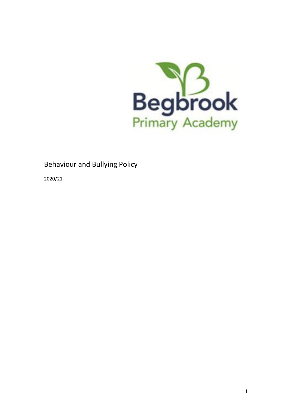

# Behaviour and Bullying Policy

2020/21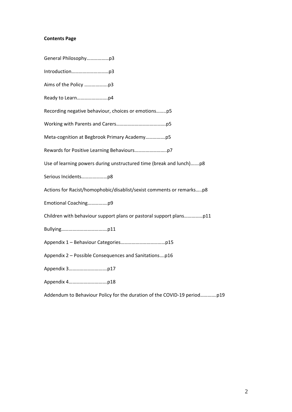# **Contents Page**

| Recording negative behaviour, choices or emotionsp5                  |
|----------------------------------------------------------------------|
|                                                                      |
|                                                                      |
|                                                                      |
| Use of learning powers during unstructured time (break and lunch)p8  |
|                                                                      |
| Actions for Racist/homophobic/disablist/sexist comments or remarksp8 |
| Emotional Coachingp9                                                 |
|                                                                      |
|                                                                      |
|                                                                      |
| Appendix 2 - Possible Consequences and Sanitationsp16                |
|                                                                      |
|                                                                      |

Addendum to Behaviour Policy for the duration of the COVID-19 period………….p19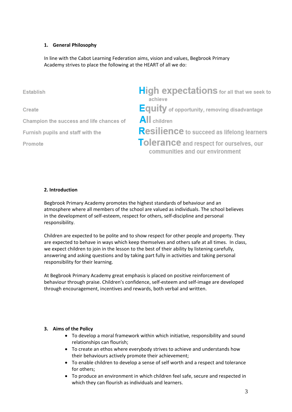# **1. General Philosophy**

In line with the Cabot Learning Federation aims, vision and values, Begbrook Primary Academy strives to place the following at the HEART of all we do:

**High expectations** for all that we seek to Establish achieve **Equity** of opportunity, removing disadvantage Create All children Champion the success and life chances of Resilience to succeed as lifelong learners Furnish pupils and staff with the Tolerance and respect for ourselves, our Promote communities and our environment

# **2. Introduction**

Begbrook Primary Academy promotes the highest standards of behaviour and an atmosphere where all members of the school are valued as individuals. The school believes in the development of self-esteem, respect for others, self-discipline and personal responsibility.

Children are expected to be polite and to show respect for other people and property. They are expected to behave in ways which keep themselves and others safe at all times. In class, we expect children to join in the lesson to the best of their ability by listening carefully, answering and asking questions and by taking part fully in activities and taking personal responsibility for their learning.

At Begbrook Primary Academy great emphasis is placed on positive reinforcement of behaviour through praise. Children's confidence, self-esteem and self-image are developed through encouragement, incentives and rewards, both verbal and written.

#### **3. Aims of the Policy**

- To develop a moral framework within which initiative, responsibility and sound relationships can flourish;
- To create an ethos where everybody strives to achieve and understands how their behaviours actively promote their achievement;
- To enable children to develop a sense of self worth and a respect and tolerance for others;
- To produce an environment in which children feel safe, secure and respected in which they can flourish as individuals and learners.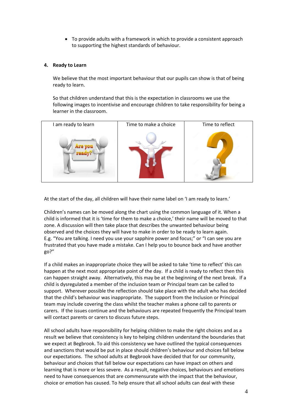• To provide adults with a framework in which to provide a consistent approach to supporting the highest standards of behaviour.

#### **4. Ready to Learn**

We believe that the most important behaviour that our pupils can show is that of being ready to learn.

So that children understand that this is the expectation in classrooms we use the following images to incentivise and encourage children to take responsibility for being a learner in the classroom.



At the start of the day, all children will have their name label on 'I am ready to learn.'

Children's names can be moved along the chart using the common language of it. When a child is informed that it is 'time for them to make a choice,' their name will be moved to that zone. A discussion will then take place that describes the unwanted behaviour being observed and the choices they will have to make in order to be ready to learn again. E.g. "You are talking. I need you use your sapphire power and focus;" or "I can see you are frustrated that you have made a mistake. Can I help you to bounce back and have another go?"

If a child makes an inappropriate choice they will be asked to take 'time to reflect' this can happen at the next most appropriate point of the day. If a child is ready to reflect then this can happen straight away. Alternatively, this may be at the beginning of the next break. If a child is dysregulated a member of the inclusion team or Principal team can be called to support. Wherever possible the reflection should take place with the adult who has decided that the child's behaviour was inappropriate. The support from the Inclusion or Principal team may include covering the class whilst the teacher makes a phone call to parents or carers. If the issues continue and the behaviours are repeated frequently the Principal team will contact parents or carers to discuss future steps.

All school adults have responsibility for helping children to make the right choices and as a result we believe that consistency is key to helping children understand the boundaries that we expect at Begbrook. To aid this consistency we have outlined the typical consequences and sanctions that would be put in place should children's behaviour and choices fall below our expectations. The school adults at Begbrook have decided that for our community, behaviour and choices that fall below our expectations can have impact on others and learning that is more or less severe. As a result, negative choices, behaviours and emotions need to have consequences that are commensurate with the impact that the behaviour, choice or emotion has caused. To help ensure that all school adults can deal with these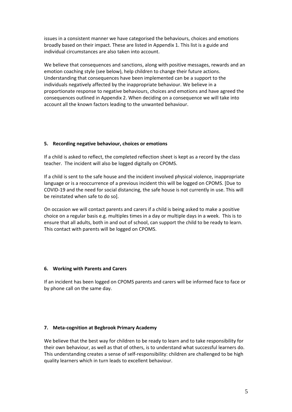issues in a consistent manner we have categorised the behaviours, choices and emotions broadly based on their impact. These are listed in Appendix 1. This list is a guide and individual circumstances are also taken into account.

We believe that consequences and sanctions, along with positive messages, rewards and an emotion coaching style (see below), help children to change their future actions. Understanding that consequences have been implemented can be a support to the individuals negatively affected by the inappropriate behaviour. We believe in a proportionate response to negative behaviours, choices and emotions and have agreed the consequences outlined in Appendix 2. When deciding on a consequence we will take into account all the known factors leading to the unwanted behaviour.

# **5. Recording negative behaviour, choices or emotions**

If a child is asked to reflect, the completed reflection sheet is kept as a record by the class teacher. The incident will also be logged digitally on CPOMS.

If a child is sent to the safe house and the incident involved physical violence, inappropriate language or is a reoccurrence of a previous incident this will be logged on CPOMS. [Due to COVID-19 and the need for social distancing, the safe house is not currently in use. This will be reinstated when safe to do so].

On occasion we will contact parents and carers if a child is being asked to make a positive choice on a regular basis e.g. multiples times in a day or multiple days in a week. This is to ensure that all adults, both in and out of school, can support the child to be ready to learn. This contact with parents will be logged on CPOMS.

#### **6. Working with Parents and Carers**

If an incident has been logged on CPOMS parents and carers will be informed face to face or by phone call on the same day.

#### **7. Meta-cognition at Begbrook Primary Academy**

We believe that the best way for children to be ready to learn and to take responsibility for their own behaviour, as well as that of others, is to understand what successful learners do. This understanding creates a sense of self-responsibility: children are challenged to be high quality learners which in turn leads to excellent behaviour.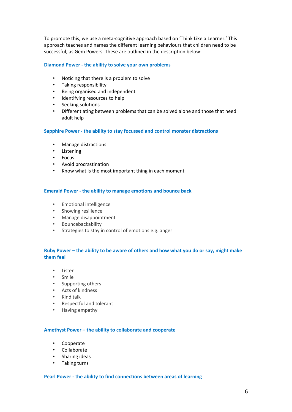To promote this, we use a meta-cognitive approach based on 'Think Like a Learner.' This approach teaches and names the different learning behaviours that children need to be successful, as Gem Powers. These are outlined in the description below:

#### **Diamond Power - the ability to solve your own problems**

- Noticing that there is a problem to solve
- Taking responsibility
- Being organised and independent
- Identifying resources to help
- Seeking solutions
- Differentiating between problems that can be solved alone and those that need adult help

#### **Sapphire Power - the ability to stay focussed and control monster distractions**

- Manage distractions
- **Listening**
- Focus
- Avoid procrastination
- Know what is the most important thing in each moment

#### **Emerald Power - the ability to manage emotions and bounce back**

- Emotional intelligence
- Showing resilience
- Manage disappointment
- Bouncebackability
- Strategies to stay in control of emotions e.g. anger

# **Ruby Power – the ability to be aware of others and how what you do or say, might make them feel**

- Listen
- Smile
- Supporting others
- Acts of kindness
- Kind talk
- Respectful and tolerant
- Having empathy

#### **Amethyst Power – the ability to collaborate and cooperate**

- Cooperate
- Collaborate
- Sharing ideas
- Taking turns

#### **Pearl Power - the ability to find connections between areas of learning**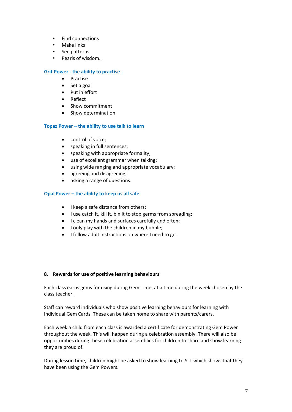- Find connections
- Make links
- See patterns
- Pearls of wisdom…

#### **Grit Power - the ability to practise**

- Practise
- Set a goal
- Put in effort
- Reflect
- Show commitment
- Show determination

# **Topaz Power – the ability to use talk to learn**

- control of voice;
- speaking in full sentences;
- speaking with appropriate formality;
- use of excellent grammar when talking;
- using wide ranging and appropriate vocabulary;
- agreeing and disagreeing;
- asking a range of questions.

# **Opal Power – the ability to keep us all safe**

- I keep a safe distance from others;
- I use catch it, kill it, bin it to stop germs from spreading;
- I clean my hands and surfaces carefully and often;
- I only play with the children in my bubble;
- I follow adult instructions on where I need to go.

#### **8. Rewards for use of positive learning behaviours**

Each class earns gems for using during Gem Time, at a time during the week chosen by the class teacher.

Staff can reward individuals who show positive learning behaviours for learning with individual Gem Cards. These can be taken home to share with parents/carers.

Each week a child from each class is awarded a certificate for demonstrating Gem Power throughout the week. This will happen during a celebration assembly. There will also be opportunities during these celebration assemblies for children to share and show learning they are proud of.

During lesson time, children might be asked to show learning to SLT which shows that they have been using the Gem Powers.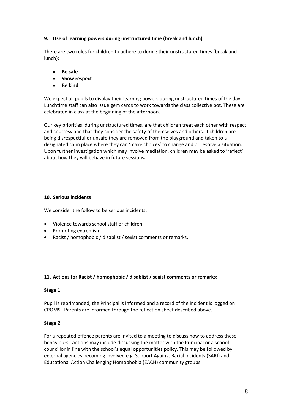# **9. Use of learning powers during unstructured time (break and lunch)**

There are two rules for children to adhere to during their unstructured times (break and lunch):

- **Be safe**
- **Show respect**
- **Be kind**

We expect all pupils to display their learning powers during unstructured times of the day. Lunchtime staff can also issue gem cards to work towards the class collective pot. These are celebrated in class at the beginning of the afternoon.

Our key priorities, during unstructured times, are that children treat each other with respect and courtesy and that they consider the safety of themselves and others. If children are being disrespectful or unsafe they are removed from the playground and taken to a designated calm place where they can 'make choices' to change and or resolve a situation. Upon further investigation which may involve mediation, children may be asked to 'reflect' about how they will behave in future sessions**.** 

# **10. Serious incidents**

We consider the follow to be serious incidents:

- Violence towards school staff or children
- Promoting extremism
- Racist / homophobic / disablist / sexist comments or remarks.

# **11. Actions for Racist / homophobic / disablist / sexist comments or remarks:**

#### **Stage 1**

Pupil is reprimanded, the Principal is informed and a record of the incident is logged on CPOMS. Parents are informed through the reflection sheet described above.

#### **Stage 2**

For a repeated offence parents are invited to a meeting to discuss how to address these behaviours. Actions may include discussing the matter with the Principal or a school councillor in line with the school's equal opportunities policy. This may be followed by external agencies becoming involved e.g. Support Against Racial Incidents (SARI) and Educational Action Challenging Homophobia (EACH) community groups.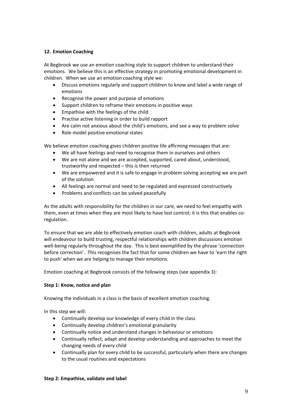# **12. Emotion Coaching**

At Begbrook we use an emotion coaching style to support children to understand their emotions. We believe this is an effective strategy in promoting emotional development in children. When we use an emotion coaching style we:

- Discuss emotions regularly and support children to know and label a wide range of emotions
- Recognise the power and purpose of emotions
- Support children to reframe their emotions in positive ways
- Empathise with the feelings of the child
- Practise active listening in order to build rapport
- Are calm not anxious about the child's emotions, and see a way to problem solve
- Role model positive emotional states

We believe emotion coaching gives children positive life affirming messages that are:

- We all have feelings and need to recognise them in ourselves and others
- We are not alone and we are accepted, supported, cared about, understood, trustworthy and respected – this is then returned
- We are empowered and it is safe to engage in problem solving accepting we are part of the solution
- All feelings are normal and need to be regulated and expressed constructively
- Problems and conflicts can be solved peacefully

As the adults with responsibility for the children in our care, we need to feel empathy with them, even at times when they are most likely to have lost control; it is this that enables coregulation.

To ensure that we are able to effectively emotion coach with children, adults at Begbrook will endeavour to build trusting, respectful relationships with children discussions emotion well-being regularly throughout the day. This is best exemplified by the phrase 'connection before correction'. This recognises the fact that for some children we have to 'earn the right to push' when we are helping to manage their emotions.

Emotion coaching at Begbrook consists of the following steps (see appendix 3):

#### **Step 1: Know, notice and plan**

Knowing the individuals in a class is the basis of excellent emotion coaching.

In this step we will:

- Continually develop our knowledge of every child in the class
- Continually develop children's emotional granularity
- Continually notice and understand changes in behaviour or emotions
- Continually reflect, adapt and develop understanding and approaches to meet the changing needs of every child
- Continually plan for every child to be successful, particularly when there are changes to the usual routines and expectations

#### **Step 2: Empathise, validate and label**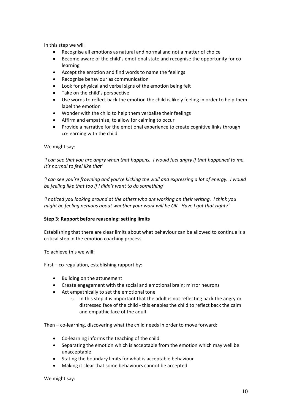In this step we will

- Recognise all emotions as natural and normal and not a matter of choice
- Become aware of the child's emotional state and recognise the opportunity for colearning
- Accept the emotion and find words to name the feelings
- Recognise behaviour as communication
- Look for physical and verbal signs of the emotion being felt
- Take on the child's perspective
- Use words to reflect back the emotion the child is likely feeling in order to help them label the emotion
- Wonder with the child to help them verbalise their feelings
- Affirm and empathise, to allow for calming to occur
- Provide a narrative for the emotional experience to create cognitive links through co-learning with the child.

#### We might say:

*'I can see that you are angry when that happens. I would feel angry if that happened to me. It's normal to feel like that'*

*'I can see you're frowning and you're kicking the wall and expressing a lot of energy. I would be feeling like that too if I didn't want to do something'*

*'I noticed you looking around at the others who are working on their writing. I think you might be feeling nervous about whether your work will be OK. Have I got that right?'*

#### **Step 3: Rapport before reasoning: setting limits**

Establishing that there are clear limits about what behaviour can be allowed to continue is a critical step in the emotion coaching process.

To achieve this we will:

First – co-regulation, establishing rapport by:

- Building on the attunement
- Create engagement with the social and emotional brain; mirror neurons
- Act empathically to set the emotional tone
	- $\circ$  In this step it is important that the adult is not reflecting back the angry or distressed face of the child - this enables the child to reflect back the calm and empathic face of the adult

Then – co-learning, discovering what the child needs in order to move forward:

- Co-learning informs the teaching of the child
- Separating the emotion which is acceptable from the emotion which may well be unacceptable
- Stating the boundary limits for what is acceptable behaviour
- Making it clear that some behaviours cannot be accepted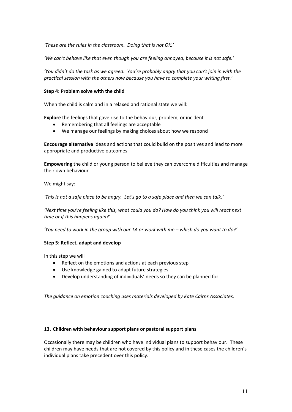*'These are the rules in the classroom. Doing that is not OK.'*

*'We can't behave like that even though you are feeling annoyed, because it is not safe.'*

*'You didn't do the task as we agreed. You're probably angry that you can't join in with the practical session with the others now because you have to complete your writing first.'*

#### **Step 4: Problem solve with the child**

When the child is calm and in a relaxed and rational state we will:

**Explore** the feelings that gave rise to the behaviour, problem, or incident

- Remembering that all feelings are acceptable
- We manage our feelings by making choices about how we respond

**Encourage alternative** ideas and actions that could build on the positives and lead to more appropriate and productive outcomes.

**Empowering** the child or young person to believe they can overcome difficulties and manage their own behaviour

We might say:

*'This is not a safe place to be angry. Let's go to a safe place and then we can talk.'*

*'Next time you're feeling like this, what could you do? How do you think you will react next time or if this happens again?'*

*'You need to work in the group with our TA or work with me – which do you want to do?'*

#### **Step 5: Reflect, adapt and develop**

In this step we will

- Reflect on the emotions and actions at each previous step
- Use knowledge gained to adapt future strategies
- Develop understanding of individuals' needs so they can be planned for

*The guidance on emotion coaching uses materials developed by Kate Cairns Associates.*

#### **13. Children with behaviour support plans or pastoral support plans**

Occasionally there may be children who have individual plans to support behaviour. These children may have needs that are not covered by this policy and in these cases the children's individual plans take precedent over this policy.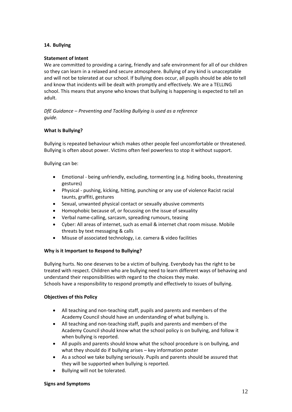# **14. Bullying**

# **Statement of Intent**

We are committed to providing a caring, friendly and safe environment for all of our children so they can learn in a relaxed and secure atmosphere. Bullying of any kind is unacceptable and will not be tolerated at our school. If bullying does occur, all pupils should be able to tell and know that incidents will be dealt with promptly and effectively. We are a TELLING school. This means that anyone who knows that bullying is happening is expected to tell an adult.

*DfE Guidance – Preventing and Tackling Bullying is used as a reference guide.*

# **What Is Bullying?**

Bullying is repeated behaviour which makes other people feel uncomfortable or threatened. Bullying is often about power. Victims often feel powerless to stop it without support.

Bullying can be:

- Emotional being unfriendly, excluding, tormenting (e.g. hiding books, threatening gestures)
- Physical pushing, kicking, hitting, punching or any use of violence Racist racial taunts, graffiti, gestures
- Sexual, unwanted physical contact or sexually abusive comments
- Homophobic because of, or focussing on the issue of sexuality
- Verbal name-calling, sarcasm, spreading rumours, teasing
- Cyber: All areas of internet, such as email & internet chat room misuse. Mobile threats by text messaging & calls
- Misuse of associated technology, i.e. camera & video facilities

#### **Why is it Important to Respond to Bullying?**

Bullying hurts. No one deserves to be a victim of bullying. Everybody has the right to be treated with respect. Children who are bullying need to learn different ways of behaving and understand their responsibilities with regard to the choices they make. Schools have a responsibility to respond promptly and effectively to issues of bullying.

#### **Objectives of this Policy**

- All teaching and non-teaching staff, pupils and parents and members of the Academy Council should have an understanding of what bullying is.
- All teaching and non-teaching staff, pupils and parents and members of the Academy Council should know what the school policy is on bullying, and follow it when bullying is reported.
- All pupils and parents should know what the school procedure is on bullying, and what they should do if bullying arises – key information poster
- As a school we take bullying seriously. Pupils and parents should be assured that they will be supported when bullying is reported.
- Bullying will not be tolerated.

#### **Signs and Symptoms**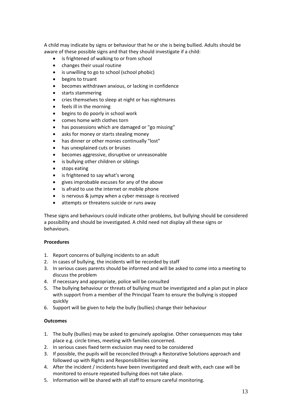A child may indicate by signs or behaviour that he or she is being bullied. Adults should be aware of these possible signs and that they should investigate if a child:

- is frightened of walking to or from school
- changes their usual routine
- is unwilling to go to school (school phobic)
- begins to truant
- becomes withdrawn anxious, or lacking in confidence
- starts stammering
- cries themselves to sleep at night or has nightmares
- feels ill in the morning
- begins to do poorly in school work
- comes home with clothes torn
- has possessions which are damaged or "go missing"
- asks for money or starts stealing money
- has dinner or other monies continually "lost"
- has unexplained cuts or bruises
- becomes aggressive, disruptive or unreasonable
- is bullying other children or siblings
- stops eating
- is frightened to say what's wrong
- gives improbable excuses for any of the above
- is afraid to use the internet or mobile phone
- is nervous & jumpy when a cyber message is received
- attempts or threatens suicide or runs away

These signs and behaviours could indicate other problems, but bullying should be considered a possibility and should be investigated. A child need not display all these signs or behaviours.

# **Procedures**

- 1. Report concerns of bullying incidents to an adult
- 2. In cases of bullying, the incidents will be recorded by staff
- 3. In serious cases parents should be informed and will be asked to come into a meeting to discuss the problem
- 4. If necessary and appropriate, police will be consulted
- 5. The bullying behaviour or threats of bullying must be investigated and a plan put in place with support from a member of the Principal Team to ensure the bullying is stopped quickly
- 6. Support will be given to help the bully (bullies) change their behaviour

# **Outcomes**

- 1. The bully (bullies) may be asked to genuinely apologise. Other consequences may take place e.g. circle times, meeting with families concerned.
- 2. In serious cases fixed term exclusion may need to be considered
- 3. If possible, the pupils will be reconciled through a Restorative Solutions approach and followed up with Rights and Responsibilities learning
- 4. After the incident / incidents have been investigated and dealt with, each case will be monitored to ensure repeated bullying does not take place.
- 5. Information will be shared with all staff to ensure careful monitoring.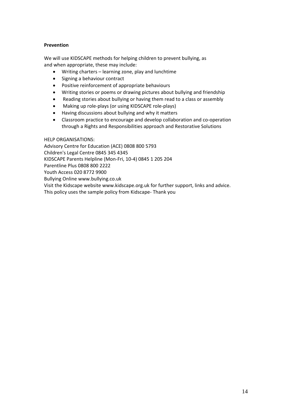# **Prevention**

We will use KIDSCAPE methods for helping children to prevent bullying, as and when appropriate, these may include:

- Writing charters learning zone, play and lunchtime
- Signing a behaviour contract
- Positive reinforcement of appropriate behaviours
- Writing stories or poems or drawing pictures about bullying and friendship
- Reading stories about bullying or having them read to a class or assembly
- Making up role-plays (or using KIDSCAPE role-plays)
- Having discussions about bullying and why it matters
- Classroom practice to encourage and develop collaboration and co-operation through a Rights and Responsibilities approach and Restorative Solutions

#### HELP ORGANISATIONS:

Advisory Centre for Education (ACE) 0808 800 5793 Children's Legal Centre 0845 345 4345 KIDSCAPE Parents Helpline (Mon-Fri, 10-4) 0845 1 205 204 Parentline Plus 0808 800 2222 Youth Access 020 8772 9900 Bullying Online www.bullying.co.uk Visit the Kidscape website www.kidscape.org.uk for further support, links and advice. This policy uses the sample policy from Kidscape- Thank you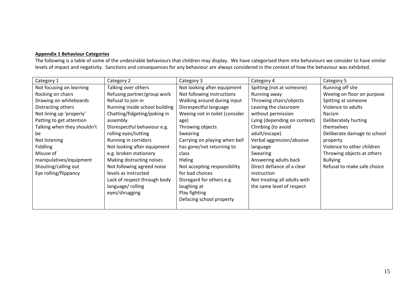#### **Appendix 1 Behaviour Categories**

The following is a table of some of the undesirable behaviours that children may display. We have categorised them into behaviours we consider to have similar levels of impact and negativity. Sanctions and consequences for any behaviour are always considered in the context of how the behaviour was exhibited.

| Category 1                  | Category 2                     | Category 3                     | Category 4                   | Category 5                  |
|-----------------------------|--------------------------------|--------------------------------|------------------------------|-----------------------------|
| Not focusing on learning    | Talking over others            | Not looking after equipment    | Spitting (not at someone)    | Running off site            |
| Rocking on chairs           | Refusing partner/group work    | Not following instructions     | Running away                 | Weeing on floor on purpose  |
| Drawing on whiteboards      | Refusal to join in             | Walking around during input    | Throwing chairs/objects      | Spitting at someone         |
| Distracting others          | Running inside school building | Disrespectful language         | Leaving the classroom        | Violence to adults          |
| Not lining up 'properly'    | Chatting/fidgeting/poking in   | Weeing not in toilet (consider | without permission           | Racism                      |
| Patting to get attention    | assembly                       | age)                           | Lying (depending on context) | Deliberately hurting        |
| Talking when they shouldn't | Disrespectful behaviour e.g.   | Throwing objects               | Climbing (to avoid           | themselves                  |
| be                          | rolling eyes/tutting           | Swearing                       | adult/escape)                | Deliberate damage to school |
| Not listening               | Running in corridors           | Carrying on playing when bell  | Verbal aggression/abusive    | property                    |
| <b>Fiddling</b>             | Not looking after equipment    | has gone/not returning to      | language                     | Violence to other children  |
| Misuse of                   | e.g. broken stationery         | class                          | Swearing                     | Throwing objects at others  |
| manipulatives/equipment     | Making distracting noises      | Hiding                         | Answering adults back        | <b>Bullying</b>             |
| Shouting/calling out        | Not following agreed noise     | Not accepting responsibility   | Direct defiance of a clear   | Refusal to make safe choice |
| Eye rolling/flippancy       | levels as instructed           | for bad choices                | instruction                  |                             |
|                             | Lack of respect through body   | Disregard for others e.g.      | Not treating all adults with |                             |
|                             | language/rolling               | laughing at                    | the same level of respect    |                             |
|                             | eyes/shrugging                 | Play fighting                  |                              |                             |
|                             |                                | Defacing school property       |                              |                             |
|                             |                                |                                |                              |                             |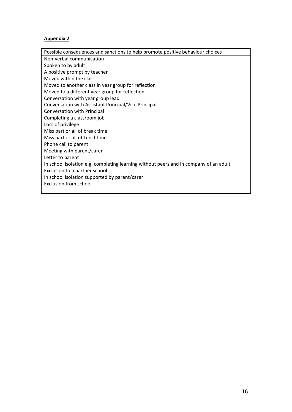# **Appendix 2**

Possible consequences and sanctions to help promote positive behaviour choices Non-verbal communication Spoken to by adult A positive prompt by teacher Moved within the class Moved to another class in year group for reflection Moved to a different year group for reflection Conversation with year group lead Conversation with Assistant Principal/Vice Principal Conversation with Principal Completing a classroom job Loss of privilege Miss part or all of break time Miss part or all of Lunchtime Phone call to parent Meeting with parent/carer Letter to parent In school isolation e.g. completing learning without peers and in company of an adult Exclusion to a partner school In school isolation supported by parent/carer Exclusion from school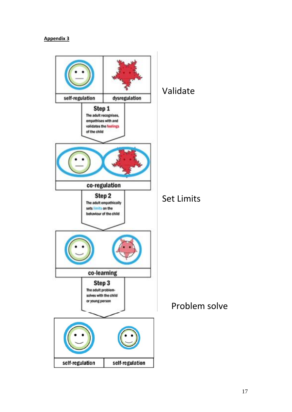# **Appendix 3**

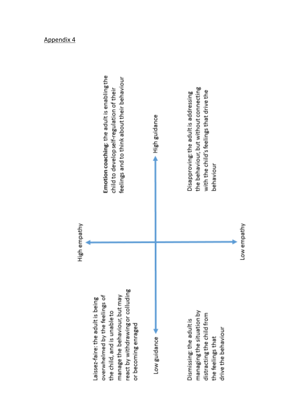